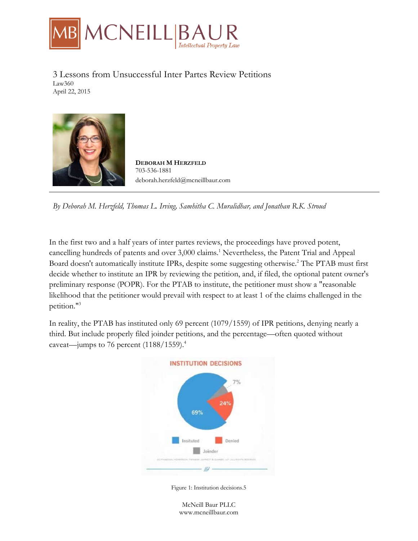

3 Lessons from Unsuccessful Inter Partes Review Petitions Law360 April 22, 2015



**DEBORAH M HERZFELD** 703-536-1881 deborah.herzfeld@mcneillbaur.com

*By Deborah M. Herzfeld, Thomas L. Irving, Samhitha C. Muralidhar, and Jonathan R.K. Stroud*

In the first two and a half years of inter partes reviews, the proceedings have proved potent, cancelling hundreds of patents and over 3,000 claims.<sup>1</sup> Nevertheless, the Patent Trial and Appeal Board doesn't automatically institute IPRs, despite some suggesting otherwise.2 The PTAB must first decide whether to institute an IPR by reviewing the petition, and, if filed, the optional patent owner's preliminary response (POPR). For the PTAB to institute, the petitioner must show a "reasonable likelihood that the petitioner would prevail with respect to at least 1 of the claims challenged in the petition."3

In reality, the PTAB has instituted only 69 percent (1079/1559) of IPR petitions, denying nearly a third. But include properly filed joinder petitions, and the percentage—often quoted without caveat—jumps to 76 percent (1188/1559).<sup>4</sup>



Figure 1: Institution decisions.5

McNeill Baur PLLC www.mcneillbaur.com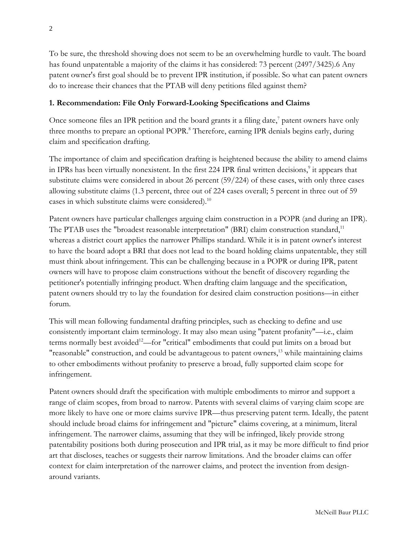To be sure, the threshold showing does not seem to be an overwhelming hurdle to vault. The board has found unpatentable a majority of the claims it has considered: 73 percent (2497/3425).6 Any patent owner's first goal should be to prevent IPR institution, if possible. So what can patent owners do to increase their chances that the PTAB will deny petitions filed against them?

## **1. Recommendation: File Only Forward-Looking Specifications and Claims**

Once someone files an IPR petition and the board grants it a filing date, $^7$  patent owners have only three months to prepare an optional POPR.<sup>8</sup> Therefore, earning IPR denials begins early, during claim and specification drafting.

The importance of claim and specification drafting is heightened because the ability to amend claims in IPRs has been virtually nonexistent. In the first 224 IPR final written decisions,<sup>9</sup> it appears that substitute claims were considered in about 26 percent (59/224) of these cases, with only three cases allowing substitute claims (1.3 percent, three out of 224 cases overall; 5 percent in three out of 59 cases in which substitute claims were considered).<sup>10</sup>

Patent owners have particular challenges arguing claim construction in a POPR (and during an IPR). The PTAB uses the "broadest reasonable interpretation" (BRI) claim construction standard,<sup>11</sup> whereas a district court applies the narrower Phillips standard. While it is in patent owner's interest to have the board adopt a BRI that does not lead to the board holding claims unpatentable, they still must think about infringement. This can be challenging because in a POPR or during IPR, patent owners will have to propose claim constructions without the benefit of discovery regarding the petitioner's potentially infringing product. When drafting claim language and the specification, patent owners should try to lay the foundation for desired claim construction positions—in either forum.

This will mean following fundamental drafting principles, such as checking to define and use consistently important claim terminology. It may also mean using "patent profanity"—i.e., claim terms normally best avoided<sup>12</sup>—for "critical" embodiments that could put limits on a broad but "reasonable" construction, and could be advantageous to patent owners,<sup>13</sup> while maintaining claims to other embodiments without profanity to preserve a broad, fully supported claim scope for infringement.

Patent owners should draft the specification with multiple embodiments to mirror and support a range of claim scopes, from broad to narrow. Patents with several claims of varying claim scope are more likely to have one or more claims survive IPR—thus preserving patent term. Ideally, the patent should include broad claims for infringement and "picture" claims covering, at a minimum, literal infringement. The narrower claims, assuming that they will be infringed, likely provide strong patentability positions both during prosecution and IPR trial, as it may be more difficult to find prior art that discloses, teaches or suggests their narrow limitations. And the broader claims can offer context for claim interpretation of the narrower claims, and protect the invention from designaround variants.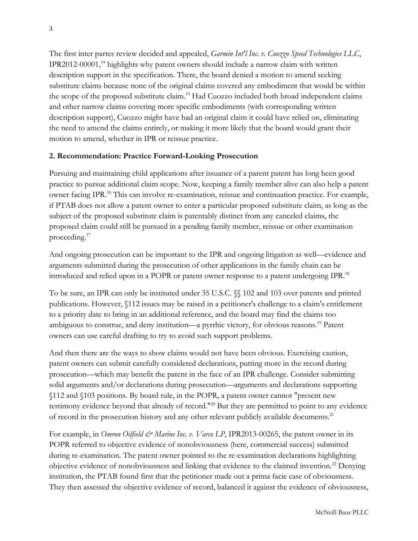The first inter partes review decided and appealed, *Garmin Int'l Inc. v. Cuozzo Speed Technologies LLC*, IPR2012-00001,<sup>14</sup> highlights why patent owners should include a narrow claim with written description support in the specification. There, the board denied a motion to amend seeking substitute claims because none of the original claims covered any embodiment that would be within the scope of the proposed substitute claim.<sup>15</sup> Had Cuozzo included both broad independent claims and other narrow claims covering more specific embodiments (with corresponding written description support), Cuozzo might have had an original claim it could have relied on, eliminating the need to amend the claims entirely, or making it more likely that the board would grant their motion to amend, whether in IPR or reissue practice.

### **2. Recommendation: Practice Forward-Looking Prosecution**

Pursuing and maintaining child applications after issuance of a parent patent has long been good practice to pursue additional claim scope. Now, keeping a family member alive can also help a patent owner facing IPR.<sup>16</sup> This can involve re-examination, reissue and continuation practice. For example, if PTAB does not allow a patent owner to enter a particular proposed substitute claim, as long as the subject of the proposed substitute claim is patentably distinct from any canceled claims, the proposed claim could still be pursued in a pending family member, reissue or other examination proceeding.17

And ongoing prosecution can be important to the IPR and ongoing litigation as well—evidence and arguments submitted during the prosecution of other applications in the family chain can be introduced and relied upon in a POPR or patent owner response to a patent undergoing IPR.18

To be sure, an IPR can only be instituted under 35 U.S.C. §§ 102 and 103 over patents and printed publications. However, §112 issues may be raised in a petitioner's challenge to a claim's entitlement to a priority date to bring in an additional reference, and the board may find the claims too ambiguous to construe, and deny institution—a pyrrhic victory, for obvious reasons.19 Patent owners can use careful drafting to try to avoid such support problems.

And then there are the ways to show claims would not have been obvious. Exercising caution, patent owners can submit carefully considered declarations, putting more in the record during prosecution—which may benefit the patent in the face of an IPR challenge. Consider submitting solid arguments and/or declarations during prosecution—arguments and declarations supporting §112 and §103 positions. By board rule, in the POPR, a patent owner cannot "present new testimony evidence beyond that already of record."20 But they are permitted to point to any evidence of record in the prosecution history and any other relevant publicly available documents.<sup>21</sup>

For example, in *Omron Oilfield & Marine Inc. v. Varco LP*, IPR2013-00265, the patent owner in its POPR referred to objective evidence of nonobviousness (here, commercial success) submitted during re-examination. The patent owner pointed to the re-examination declarations highlighting objective evidence of nonobviousness and linking that evidence to the claimed invention.22 Denying institution, the PTAB found first that the petitioner made out a prima facie case of obviousness. They then assessed the objective evidence of record, balanced it against the evidence of obviousness,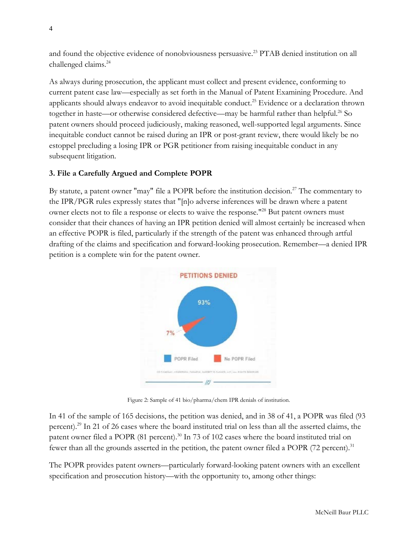and found the objective evidence of nonobviousness persuasive.<sup>23</sup> PTAB denied institution on all challenged claims.24

As always during prosecution, the applicant must collect and present evidence, conforming to current patent case law—especially as set forth in the Manual of Patent Examining Procedure. And applicants should always endeavor to avoid inequitable conduct.<sup>25</sup> Evidence or a declaration thrown together in haste—or otherwise considered defective—may be harmful rather than helpful.<sup>26</sup> So patent owners should proceed judiciously, making reasoned, well-supported legal arguments. Since inequitable conduct cannot be raised during an IPR or post-grant review, there would likely be no estoppel precluding a losing IPR or PGR petitioner from raising inequitable conduct in any subsequent litigation.

# **3. File a Carefully Argued and Complete POPR**

By statute, a patent owner "may" file a POPR before the institution decision.<sup>27</sup> The commentary to the IPR/PGR rules expressly states that "[n]o adverse inferences will be drawn where a patent owner elects not to file a response or elects to waive the response."28 But patent owners must consider that their chances of having an IPR petition denied will almost certainly be increased when an effective POPR is filed, particularly if the strength of the patent was enhanced through artful drafting of the claims and specification and forward-looking prosecution. Remember—a denied IPR petition is a complete win for the patent owner.



Figure 2: Sample of 41 bio/pharma/chem IPR denials of institution.

In 41 of the sample of 165 decisions, the petition was denied, and in 38 of 41, a POPR was filed (93 percent).29 In 21 of 26 cases where the board instituted trial on less than all the asserted claims, the patent owner filed a POPR (81 percent).<sup>30</sup> In 73 of 102 cases where the board instituted trial on fewer than all the grounds asserted in the petition, the patent owner filed a POPR (72 percent).<sup>31</sup>

The POPR provides patent owners—particularly forward-looking patent owners with an excellent specification and prosecution history—with the opportunity to, among other things: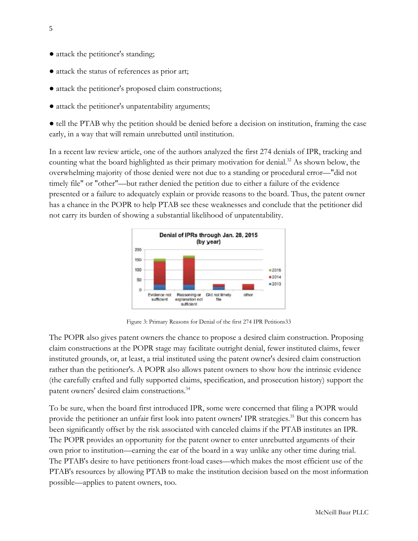- attack the petitioner's standing;
- attack the status of references as prior art;
- attack the petitioner's proposed claim constructions;
- attack the petitioner's unpatentability arguments;

● tell the PTAB why the petition should be denied before a decision on institution, framing the case early, in a way that will remain unrebutted until institution.

In a recent law review article, one of the authors analyzed the first 274 denials of IPR, tracking and counting what the board highlighted as their primary motivation for denial.<sup>32</sup> As shown below, the overwhelming majority of those denied were not due to a standing or procedural error—"did not timely file" or "other"—but rather denied the petition due to either a failure of the evidence presented or a failure to adequately explain or provide reasons to the board. Thus, the patent owner has a chance in the POPR to help PTAB see these weaknesses and conclude that the petitioner did not carry its burden of showing a substantial likelihood of unpatentability.



Figure 3: Primary Reasons for Denial of the first 274 IPR Petitions33

The POPR also gives patent owners the chance to propose a desired claim construction. Proposing claim constructions at the POPR stage may facilitate outright denial, fewer instituted claims, fewer instituted grounds, or, at least, a trial instituted using the patent owner's desired claim construction rather than the petitioner's. A POPR also allows patent owners to show how the intrinsic evidence (the carefully crafted and fully supported claims, specification, and prosecution history) support the patent owners' desired claim constructions.34

To be sure, when the board first introduced IPR, some were concerned that filing a POPR would provide the petitioner an unfair first look into patent owners' IPR strategies.<sup>35</sup> But this concern has been significantly offset by the risk associated with canceled claims if the PTAB institutes an IPR. The POPR provides an opportunity for the patent owner to enter unrebutted arguments of their own prior to institution—earning the ear of the board in a way unlike any other time during trial. The PTAB's desire to have petitioners front-load cases—which makes the most efficient use of the PTAB's resources by allowing PTAB to make the institution decision based on the most information possible—applies to patent owners, too.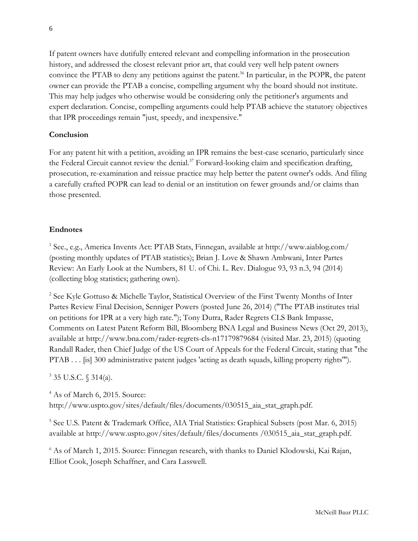If patent owners have dutifully entered relevant and compelling information in the prosecution history, and addressed the closest relevant prior art, that could very well help patent owners convince the PTAB to deny any petitions against the patent.<sup>36</sup> In particular, in the POPR, the patent owner can provide the PTAB a concise, compelling argument why the board should not institute. This may help judges who otherwise would be considering only the petitioner's arguments and expert declaration. Concise, compelling arguments could help PTAB achieve the statutory objectives that IPR proceedings remain "just, speedy, and inexpensive."

### **Conclusion**

For any patent hit with a petition, avoiding an IPR remains the best-case scenario, particularly since the Federal Circuit cannot review the denial.<sup>37</sup> Forward-looking claim and specification drafting, prosecution, re-examination and reissue practice may help better the patent owner's odds. And filing a carefully crafted POPR can lead to denial or an institution on fewer grounds and/or claims than those presented.

### **Endnotes**

<sup>1</sup> See., e.g., America Invents Act: PTAB Stats, Finnegan, available at http://www.aiablog.com/ (posting monthly updates of PTAB statistics); Brian J. Love & Shawn Ambwani, Inter Partes Review: An Early Look at the Numbers, 81 U. of Chi. L. Rev. Dialogue 93, 93 n.3, 94 (2014) (collecting blog statistics; gathering own).

<sup>2</sup> See Kyle Gottuso & Michelle Taylor, Statistical Overview of the First Twenty Months of Inter Partes Review Final Decision, Senniger Powers (posted June 26, 2014) ("The PTAB institutes trial on petitions for IPR at a very high rate."); Tony Dutra, Rader Regrets CLS Bank Impasse, Comments on Latest Patent Reform Bill, Bloomberg BNA Legal and Business News (Oct 29, 2013), available at http://www.bna.com/rader-regrets-cls-n17179879684 (visited Mar. 23, 2015) (quoting Randall Rader, then Chief Judge of the US Court of Appeals for the Federal Circuit, stating that "the PTAB . . . [is] 300 administrative patent judges 'acting as death squads, killing property rights'").

<sup>3</sup> 35 U.S.C. § 314(a).

<sup>4</sup> As of March 6, 2015. Source: http://www.uspto.gov/sites/default/files/documents/030515\_aia\_stat\_graph.pdf.

<sup>5</sup> See U.S. Patent & Trademark Office, AIA Trial Statistics: Graphical Subsets (post Mar. 6, 2015) available at http://www.uspto.gov/sites/default/files/documents /030515\_aia\_stat\_graph.pdf.

<sup>6</sup> As of March 1, 2015. Source: Finnegan research, with thanks to Daniel Klodowski, Kai Rajan, Elliot Cook, Joseph Schaffner, and Cara Lasswell.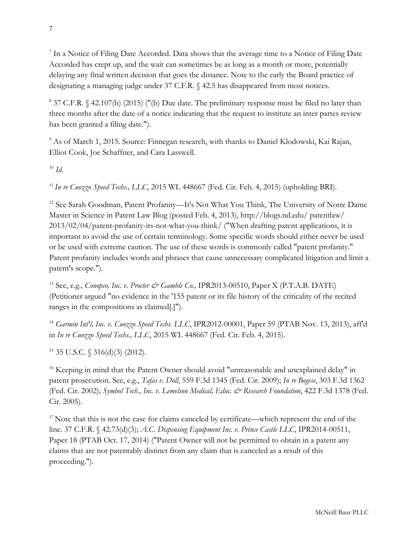<sup>7</sup> In a Notice of Filing Date Accorded. Data shows that the average time to a Notice of Filing Date Accorded has crept up, and the wait can sometimes be as long as a month or more, potentially delaying any final written decision that goes the distance. Note to the early the Board practice of designating a managing judge under 37 C.F.R. § 42.5 has disappeared from most notices.

<sup>8</sup> 37 C.F.R. § 42.107(b) (2015) ("(b) Due date. The preliminary response must be filed no later than three months after the date of a notice indicating that the request to institute an inter partes review has been granted a filing date.").

<sup>9</sup> As of March 1, 2015. Source: Finnegan research, with thanks to Daniel Klodowski, Kai Rajan, Elliot Cook, Joe Schaffner, and Cara Lasswell.

<sup>10</sup> *Id.*

<sup>11</sup>*In re Cuozzo Speed Techs., LLC*, 2015 WL 448667 (Fed. Cir. Feb. 4, 2015) (upholding BRI).

<sup>12</sup> See Sarah Goodman, Patent Profanity—It's Not What You Think, The University of Notre Dame Master in Science in Patent Law Blog (posted Feb. 4, 2013), http://blogs.nd.edu/ patentlaw/ 2013/02/04/patent-profanity-its-not-what-you-think/ ("When drafting patent applications, it is important to avoid the use of certain terminology. Some specific words should either never be used or be used with extreme caution. The use of these words is commonly called "patent profanity." Patent profanity includes words and phrases that cause unnecessary complicated litigation and limit a patent's scope.").

<sup>13</sup> See, e.g., *Conopco, Inc. v. Procter*  $\mathcal{Q}$ *<sup>2</sup> Gamble Co.*, IPR2013-00510, Paper X (P.T.A.B. DATE) (Petitioner argued "no evidence in the '155 patent or its file history of the criticality of the recited ranges in the compositions as claimed[.]").

<sup>14</sup> *Garmin Int'l, Inc. v. Cuozzo Speed Techs. LLC*, IPR2012-00001, Paper 59 (PTAB Nov. 13, 2013), aff'd in *In re Cuozzo Speed Techs., LLC*, 2015 WL 448667 (Fed. Cir. Feb. 4, 2015).

 $15$  35 U.S.C.  $\{(316(d)(3) (2012)\})$ .

<sup>16</sup> Keeping in mind that the Patent Owner should avoid "unreasonable and unexplained delay" in patent prosecution. See, e.g., *Tafas v. Doll*, 559 F.3d 1345 (Fed. Cir. 2009); *In re Bogese*, 303 F.3d 1362 (Fed. Cir. 2002); *Symbol Tech., Inc. v. Lemelson Medical, Educ. & Research Foundation*, 422 F.3d 1378 (Fed. Cir. 2005).

<sup>17</sup> Note that this is not the case for claims canceled by certificate—which represent the end of the line. 37 C.F.R. § 42.73(d)(3); *A.C. Dispensing Equipment Inc. v. Prince Castle LLC*, IPR2014-00511, Paper 18 (PTAB Oct. 17, 2014) ("Patent Owner will not be permitted to obtain in a patent any claims that are not patentably distinct from any claim that is canceled as a result of this proceeding.").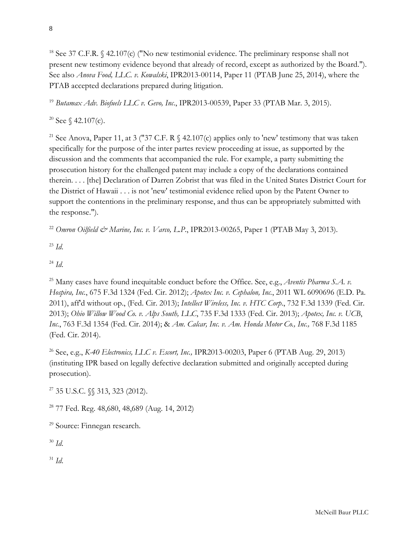<sup>18</sup> See 37 C.F.R.  $\frac{642.107(c)}{N}$  ("No new testimonial evidence. The preliminary response shall not present new testimony evidence beyond that already of record, except as authorized by the Board."). See also *Anova Food, LLC. v. Kowalski*, IPR2013-00114, Paper 11 (PTAB June 25, 2014), where the PTAB accepted declarations prepared during litigation.

<sup>19</sup> *Butamax Adv. Biofuels LLC v. Gevo, Inc*., IPR2013-00539, Paper 33 (PTAB Mar. 3, 2015).

<sup>20</sup> See  $\frac{42.107(c)}{c}$ .

<sup>21</sup> See Anova, Paper 11, at 3 ("37 C.F. R  $\frac{6}{9}$  42.107(c) applies only to 'new' testimony that was taken specifically for the purpose of the inter partes review proceeding at issue, as supported by the discussion and the comments that accompanied the rule. For example, a party submitting the prosecution history for the challenged patent may include a copy of the declarations contained therein. . . . [the] Declaration of Darren Zobrist that was filed in the United States District Court for the District of Hawaii . . . is not 'new' testimonial evidence relied upon by the Patent Owner to support the contentions in the preliminary response, and thus can be appropriately submitted with the response.").

<sup>22</sup> *Omron Oilfield & Marine, Inc. v. Varco, L.P.*, IPR2013-00265, Paper 1 (PTAB May 3, 2013).

<sup>23</sup> *Id*.

<sup>24</sup> *Id*.

<sup>25</sup> Many cases have found inequitable conduct before the Office. See, e.g., *Aventis Pharma S.A. v. Hospira, Inc.*, 675 F.3d 1324 (Fed. Cir. 2012); *Apotex Inc. v. Cephalon, Inc.*, 2011 WL 6090696 (E.D. Pa. 2011), aff'd without op., (Fed. Cir. 2013); *Intellect Wireless, Inc. v. HTC Corp*., 732 F.3d 1339 (Fed. Cir. 2013); *Ohio Willow Wood Co. v. Alps South, LLC*, 735 F.3d 1333 (Fed. Cir. 2013); *Apotex, Inc. v. UCB*, *Inc.*, 763 F.3d 1354 (Fed. Cir. 2014); & *Am. Calcar, Inc. v. Am. Honda Motor Co., Inc.,* 768 F.3d 1185 (Fed. Cir. 2014).

<sup>26</sup> See, e.g., *K-40 Electronics, LLC v. Escort, Inc.,* IPR2013-00203, Paper 6 (PTAB Aug. 29, 2013) (instituting IPR based on legally defective declaration submitted and originally accepted during prosecution).

<sup>27</sup> 35 U.S.C. §§ 313, 323 (2012).

<sup>28</sup> 77 Fed. Reg. 48,680, 48,689 (Aug. 14, 2012)

<sup>29</sup> Source: Finnegan research.

<sup>30</sup> *Id*.

<sup>31</sup> *Id*.